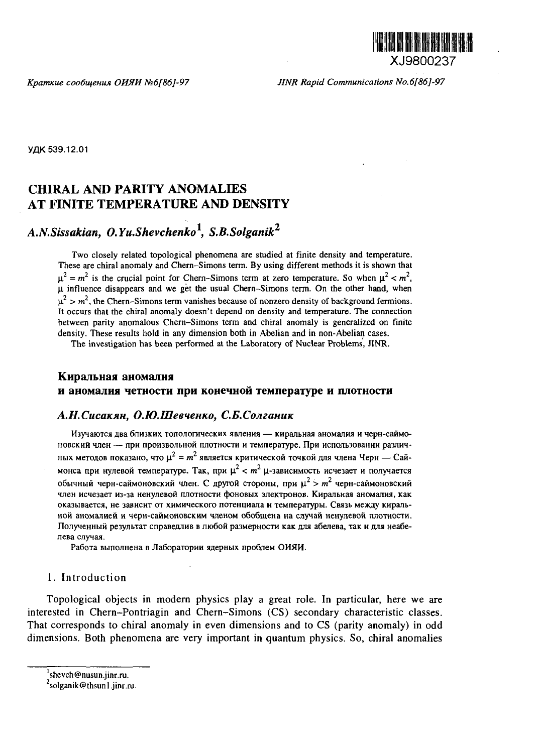

*Kpamnue coo6vnemm OURU Ns6[86]-97 JINR Rapid Communications No.6[86]-97*

YAK 539.12.01

## CHIRAL **AND PARITY ANOMALIES AT FINITE TEMPERATURE AND DENSITY**

# *A.N.Sissakian, O.Yu.Shevchenko<sup>1</sup> , S.B.Solganik<sup>2</sup>*

Two closely related topological phenomena are studied at finite density and temperature. These are chiral anomaly and Chern-Simons term. By using different methods it is shown that  $\mu^2 = m^2$  is the crucial point for Chern-Simons term at zero temperature. So when  $\mu^2 < m^2$ ,  $\mu$  influence disappears and we get the usual Chern-Simons term. On the other hand, when  $\mu^2 > m^2$ , the Chern–Simons term vanishes because of nonzero density of background fermions. It occurs that the chiral anomaly doesn't depend on density and temperature. The connection between parity anomalous Chern-Simons term and chiral anomaly is generalized on finite density. These results hold in any dimension both in Abelian and in non-Abelian cases.

The investigation has been performed at the Laboratory of Nuclear Problems, JINR.

## Киральная аномалия **H** aHOMajiHH **neTHOCTH npti KOHCHHOH** TeiwnepaType **H IDIOTHOCTH**

## $A.H.Cucaxan, O.H. Uleevenko, C.E.C.$ Олганик

Изучаются два близких топологических явления — киральная аномалия и черн-саймо-**HOBCKHH ineH — npH npon3Bo.nbHOH nnoTHOCTH H TeMnepaType. IlpH Hcnojib3OBaHHH pa3JiH4** ных методов показано, что  $\mu^2 = m^2$  является критической точкой для члена Черн — Саймонса при нулевой температуре. Так, при  $\mu^2 < m^2$   $\mu$ -зависимость исчезает и получается обычный черн-саймоновский член. С другой стороны, при  $\mu^2 > m^2$  черн-саймоновский член исчезает из-за ненулевой плотности фоновых электронов. Киральная аномалия, как **OKa3biBaeTca, He 3aBHCHT OT xHMHqecKoro noTeHUHana H xeMnepaTypw. CB»3b** *htexsy* **HOH aHOMajweH H qepH-caflMOHOBCKHM MjieHOM o5o6uieHa Ha cnvnaft HeHyneBOH nnoTHOCTH. FIoJiyHeHHbiM pe3yjibTaT cnpaBeAHHB B JIK>6OH pa3inepHOCTH KaK ana a6ejieBa, Tax** *a mm* **Hea6e- ^eBa cjiynaa.**

Работа выполнена в Лаборатории ядерных проблем ОИЯИ.

## 1. Introduction

Topological objects in modern physics play a great role. In particular, here we are interested in Chern-Pontriagin and Chern-Simons (CS) secondary characteristic classes. That corresponds to chiral anomaly in even dimensions and to CS (parity anomaly) in odd dimensions. Both phenomena are very important in quantum physics. So, chiral anomalies

<sup>&</sup>lt;sup>1</sup>shevch@nusun.jinr.ru.

 $^{2}$ solganik@thsun 1 .jinr.ru.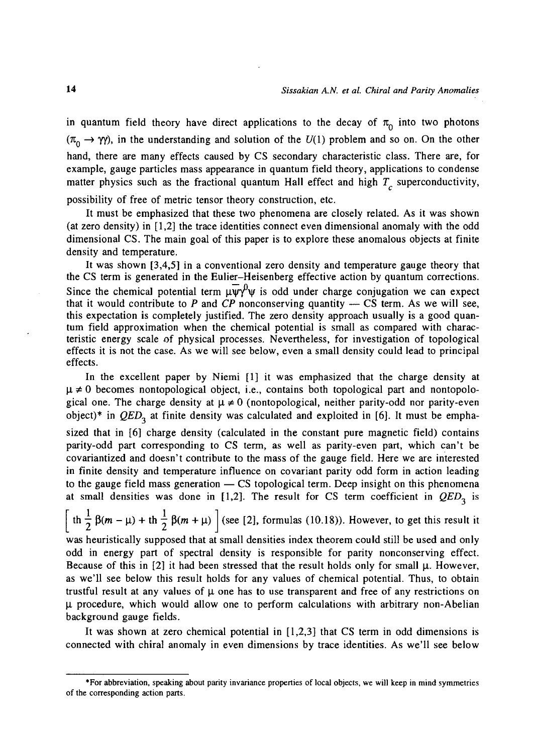in quantum field theory have direct applications to the decay of  $\pi_0$  into two photons  $(\pi_0 \to \gamma \gamma)$ , in the understanding and solution of the  $U(1)$  problem and so on. On the other hand, there are many effects caused by CS secondary characteristic class. There are, for example, gauge particles mass appearance in quantum field theory, applications to condense matter physics such as the fractional quantum Hall effect and high  $T_c$  superconductivity,

possibility of free of metric tensor theory construction, etc.

It must be emphasized that these two phenomena are closely related. As it was shown (at zero density) in [1,2] the trace identities connect even dimensional anomaly with the odd dimensional CS. The main goal of this paper is to explore these anomalous objects at finite density and temperature.

It was shown [3,4,5] in a conventional zero density and temperature gauge theory that the CS term is generated in the Eulier-Heisenberg effective action by quantum corrections. Since the chemical potential term  $\mu \bar{\psi}^0 \psi$  is odd under charge conjugation we can expect that it would contribute to *P* and *CP* nonconserving quantity — CS term. As we will see, this expectation is completely justified. The zero density approach usually is a good quantum field approximation when the chemical potential is small as compared with characteristic energy scale of physical processes. Nevertheless, for investigation of topological effects it is not the case. As we will see below, even a small density could lead to principal effects.

In the excellent paper by Niemi [1] it was emphasized that the charge density at  $\mu \neq 0$  becomes nontopological object, i.e., contains both topological part and nontopological one. The charge density at *\l* \* 0 (nontopological, neither parity-odd nor parity-even object)\* in *QED^* at finite density was calculated and exploited in [6]. It must be emphasized that in [6] charge density (calculated in the constant pure magnetic field) contains parity-odd part corresponding to CS term, as well as parity-even part, which can't be covariantized and doesn't contribute to the mass of the gauge field. Here we are interested in finite density and temperature influence on covariant parity odd form in action leading to the gauge field mass generation — CS topological term. Deep insight on this phenomena at small densities was done in  $[1,2]$ . The result for CS term coefficient in  $QED<sub>2</sub>$  is

 $\int \ln \frac{1}{2} \beta(m - \mu) + \ln \frac{1}{2} \beta(m + \mu)$  (see [2], formulas (10.18)). However, to get this result it

was heuristically supposed that at small densities index theorem could still be used and only odd in energy part of spectral density is responsible for parity nonconserving effect. Because of this in  $[2]$  it had been stressed that the result holds only for small  $\mu$ . However, as we'll see below this result holds for any values of chemical potential. Thus, to obtain trustful result at any values of *\i* one has to use transparent and free of any restrictions on  $\mu$  procedure, which would allow one to perform calculations with arbitrary non-Abelian background gauge fields.

It was shown at zero chemical potential in [1,2,3] that CS term in odd dimensions is connected with chiral anomaly in even dimensions by trace identities. As we'll see below

<sup>\*</sup>For abbreviation, speaking about parity invariance properties of local objects, we will keep in mind symmetries of the corresponding action parts.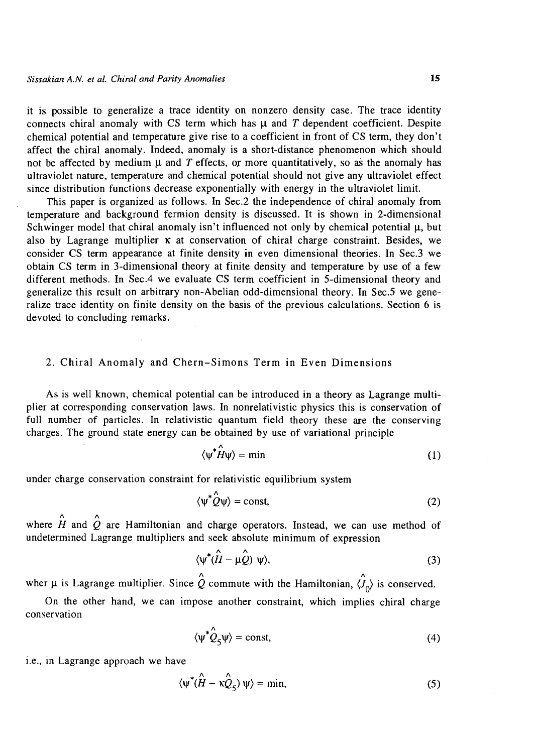it is possible to generalize a trace identity on nonzero density case. The trace identity connects chiral anomaly with CS term which has  $\mu$  and T dependent coefficient. Despite chemical potential and temperature give rise to a coefficient in front of CS term, they don't affect the chiral anomaly. Indeed, anomaly is a short-distance phenomenon which should not be affected by medium  $\mu$  and T effects, or more quantitatively, so as the anomaly has ultraviolet nature, temperature and chemical potential should not give any ultraviolet effect since distribution functions decrease exponentially with energy in the ultraviolet limit.

This paper is organized as follows. In Sec.2 the independence of chiral anomaly from temperature and background fermion density is discussed. It is shown in 2-dimensional Schwinger model that chiral anomaly isn't influenced not only by chemical potential  $\mu$ , but also by Lagrange multiplier  $\kappa$  at conservation of chiral charge constraint. Besides, we consider CS term appearance at finite density in even dimensional theories. In Sec.3 we obtain CS term in 3-dimensional theory at finite density and temperature by use of a few different methods. In Sec.4 we evaluate CS term coefficient in 5-dimensional theory and generalize this result on arbitrary non-Abelian odd-dimensional theory. In Sec.5 we generalize trace identity on finite density on the basis of the previous calculations. Section 6 is devoted to concluding remarks.

## 2. Chiral Anomaly and Chern-Simons Term in Even Dimensions

As is well known, chemical potential can be introduced in a theory as Lagrange multiplier at corresponding conservation laws. In nonrelativistic physics this is conservation of full number of particles. In relativistic quantum field theory these are the conserving charges. The ground state energy can be obtained by use of variational principle

$$
\langle \psi^* \hat{H} \psi \rangle = \min \tag{1}
$$

under charge conservation constraint for relativistic equilibrium system

$$
\langle \psi^* \hat{Q} \psi \rangle = \text{const},\tag{2}
$$

where  $\hat{H}$  and  $\hat{Q}$  are Hamiltonian and charge operators. Instead, we can use method of undetermined Lagrange multipliers and seek absolute minimum of expression

$$
\langle \psi^*(\hat{H} - \mu \hat{Q}) \psi \rangle, \tag{3}
$$

wher  $\mu$  is Lagrange multiplier. Since  $\hat{Q}$  commute with the Hamiltonian,  $\hat{Q}_{\Omega}$  is conserved.

On the other hand, we can impose another constraint, which implies chiral charge conservation

$$
\langle \psi^* \hat{Q}_5 \psi \rangle = \text{const},\tag{4}
$$

i.e., in Lagrange approach we have

$$
\langle \psi^* (\hat{H} - \kappa \hat{Q}_5) \psi \rangle = \min, \tag{5}
$$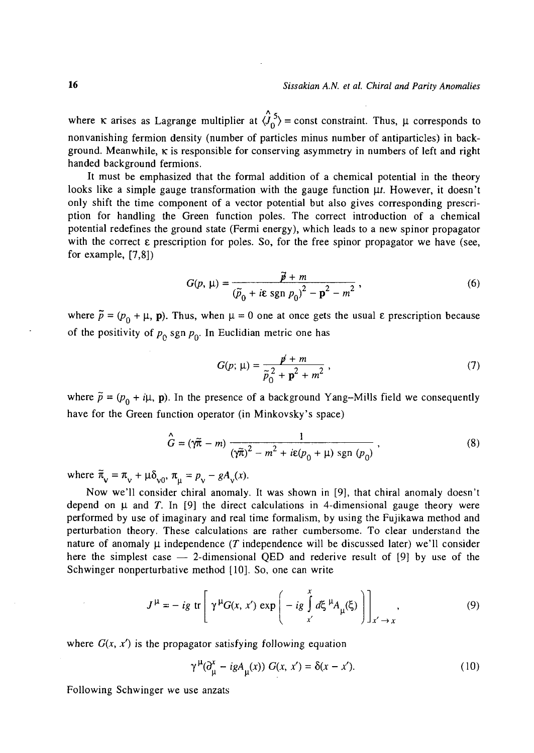where **K** arises as Lagrange multiplier at  $\langle \hat{J}_0^5 \rangle$  = const constraint. Thus,  $\mu$  corresponds to nonvanishing fermion density (number of particles minus number of antiparticles) in background. Meanwhile,  $\kappa$  is responsible for conserving asymmetry in numbers of left and right handed background fermions.

It must be emphasized that the formal addition of a chemical potential in the theory looks like a simple gauge transformation with the gauge function  $\mu t$ . However, it doesn't only shift the time component of a vector potential but also gives corresponding prescription for handling the Green function poles. The correct introduction of a chemical potential redefines the ground state (Fermi energy), which leads to a new spinor propagator with the correct  $\varepsilon$  prescription for poles. So, for the free spinor propagator we have (see, for example, [7,8])

$$
G(p, \mu) = \frac{\vec{p} + m}{(\tilde{p}_0 + i\epsilon \text{ sgn } p_0)^2 - \mathbf{p}^2 - m^2},
$$
\n(6)

where  $\tilde{p} = (p_0 + \mu, \mathbf{p})$ . Thus, when  $\mu = 0$  one at once gets the usual  $\varepsilon$  prescription because of the positivity of  $p_0$  sgn  $p_0$ . In Euclidian metric one has

$$
G(p; \mu) = \frac{p + m}{\tilde{p}_0^2 + p^2 + m^2} \,, \tag{7}
$$

where  $\tilde{p} = (p_0 + i\mu, \mathbf{p})$ . In the presence of a background Yang-Mills field we consequently have for the Green function operator (in Minkovsky's space)

$$
\hat{G} = (\gamma \tilde{\pi} - m) \frac{1}{(\gamma \tilde{\pi})^2 - m^2 + i\epsilon (p_0 + \mu) \operatorname{sgn} (p_0)},
$$
\n(8)

where  $\widetilde{\pi}_{v} = \pi_{v} + \mu \delta_{v0}, \pi_{u} = p_{v} - gA_{v}(x)$ .

Now we'll consider chiral anomaly. It was shown in [9], that chiral anomaly doesn't depend on  $\mu$  and T. In [9] the direct calculations in 4-dimensional gauge theory were performed by use of imaginary and real time formalism, by using the Fujikawa method and perturbation theory. These calculations are rather cumbersome. To clear understand the nature of anomaly  $\mu$  independence *(T* independence will be discussed later) we'll consider here the simplest case  $-$  2-dimensional OED and rederive result of [9] by use of the Schwinger nonperturbative method [10]. So, one can write

$$
J^{\mu} = -ig \text{ tr}\left[\gamma^{\mu}G(x, x') \exp\left(-ig \int_{x'}^{x} d\xi^{\mu}A_{\mu}(\xi)\right)\right]_{x' \to x}, \qquad (9)
$$

where  $G(x, x')$  is the propagator satisfying following equation

$$
\gamma^{\mu}(\partial_{\mu}^{x} - igA_{\mu}(x)) G(x, x') = \delta(x - x').
$$
 (10)

Following Schwinger we use anzats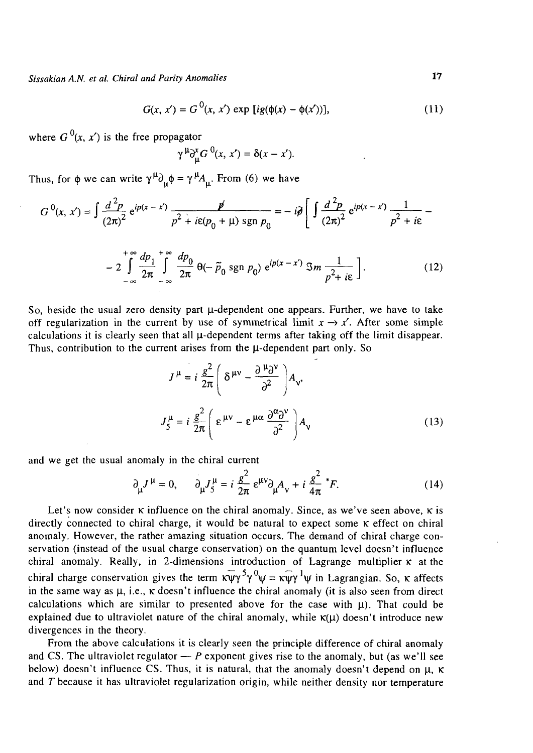$$
G(x, x') = G^{0}(x, x') \exp [ig(\phi(x) - \phi(x'))],
$$
 (11)

where  $G^{0}(x, x')$  is the free propagator

$$
f^{\mu}\partial_{\mu}^{x}G^{0}(x, x')=\delta(x-x').
$$

Thus, for  $\phi$  we can write  $\gamma^{\mu} \partial_{\mu} \phi = \gamma^{\mu} A_{\mu}$ . From (6) we have

$$
G^{0}(x, x') = \int \frac{d^{2}p}{(2\pi)^{2}} e^{ip(x - x')} \frac{p'}{p^{2} + i\epsilon(p_{0} + \mu) \operatorname{sgn} p_{0}} = -i\partial \left[ \int \frac{d^{2}p}{(2\pi)^{2}} e^{ip(x - x')} \frac{1}{p^{2} + i\epsilon} - \right]
$$

$$
-2\int_{-\infty}^{+\infty}\frac{dp_1}{2\pi}\int_{-\infty}^{+\infty}\frac{dp_0}{2\pi}\,\theta(-\tilde{p}_0\,\text{sgn}\,p_0)\,\,\mathrm{e}^{ip(x-x')}\,\mathfrak{S}m\,\frac{1}{p^2+i\epsilon}\,\bigg].\tag{12}
$$

So, beside the usual zero density part  $\mu$ -dependent one appears. Further, we have to take off regularization in the current by use of symmetrical limit  $x \to x'$ . After some simple calculations it is clearly seen that all  $\mu$ -dependent terms after taking off the limit disappear. Thus, contribution to the current arises from the  $\mu$ -dependent part only. So

$$
J^{\mu} = i \frac{g^2}{2\pi} \left( \delta^{\mu\nu} - \frac{\partial^{\mu} \partial^{\nu}}{\partial^2} \right) A_{\nu},
$$
  

$$
J_{5}^{\mu} = i \frac{g^2}{2\pi} \left( \epsilon^{\mu\nu} - \epsilon^{\mu\alpha} \frac{\partial^{\alpha} \partial^{\nu}}{\partial^2} \right) A_{\nu}
$$
 (13)

and we get the usual anomaly in the chiral current

$$
\partial_{\mu}J^{\mu} = 0, \qquad \partial_{\mu}J_{5}^{\mu} = i \frac{g^{2}}{2\pi} \epsilon^{\mu\nu}\partial_{\mu}A_{\nu} + i \frac{g^{2}}{4\pi} {}^{*}F. \tag{14}
$$

Let's now consider  $\kappa$  influence on the chiral anomaly. Since, as we've seen above,  $\kappa$  is directly connected to chiral charge, it would be natural to expect some  $\kappa$  effect on chiral anomaly. However, the rather amazing situation occurs. The demand of chiral charge conservation (instead of the usual charge conservation) on the quantum level doesn't influence chiral anomaly. Really, in 2-dimensions introduction of Lagrange multiplier  $\kappa$  at the chiral charge conservation gives the term  $\kappa \overline{\psi} \gamma^5 \gamma^0 \psi = \kappa \overline{\psi} \gamma^1 \psi$  in Lagrangian. So,  $\kappa$  affects in the same way as  $\mu$ , i.e.,  $\kappa$  doesn't influence the chiral anomaly (it is also seen from direct calculations which are similar to presented above for the case with  $\mu$ ). That could be explained due to ultraviolet nature of the chiral anomaly, while  $\kappa(\mu)$  doesn't introduce new divergences in the theory.

From the above calculations it is clearly seen the principle difference of chiral anomaly and CS. The ultraviolet regulator  $-P$  exponent gives rise to the anomaly, but (as we'll see below) doesn't influence CS. Thus, it is natural, that the anomaly doesn't depend on  $\mu$ ,  $\kappa$ and *T* because it has ultraviolet regularization origin, while neither density nor temperature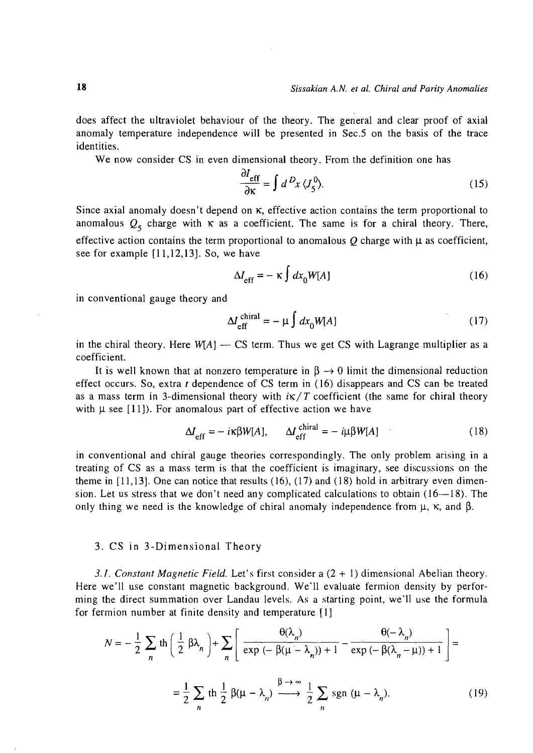does affect the ultraviolet behaviour of the theory. The general and clear proof of axial anomaly temperature independence will be presented in Sec.5 on the basis of the trace identities.

We now consider CS in even dimensional theory. From the definition one has

$$
\frac{\partial I_{\text{eff}}}{\partial \kappa} = \int d^D x \, \langle J_5^0 \rangle. \tag{15}
$$

Since axial anomaly doesn't depend on  $\kappa$ , effective action contains the term proportional to anomalous  $Q_5$  charge with  $\kappa$  as a coefficient. The same is for a chiral theory. There, effective action contains the term proportional to anomalous  $O$  charge with  $\mu$  as coefficient, see for example [11,12,13]. So, we have

$$
\Delta I_{\rm eff} = -\kappa \int dx_0 W[A] \tag{16}
$$

in conventional gauge theory and

$$
\Delta L_{\rm eff}^{\rm chiral} = -\mu \int dx_0 W[A] \tag{17}
$$

in the chiral theory. Here *W[A]* — CS term. Thus we get CS with Lagrange multiplier as a coefficient.

It is well known that at nonzero temperature in  $\beta \rightarrow 0$  limit the dimensional reduction effect occurs. So, extra *t* dependence of CS term in (16) disappears and CS can be treated as a mass term in 3-dimensional theory with  $i\kappa/T$  coefficient (the same for chiral theory with  $\mu$  see [11]). For anomalous part of effective action we have

$$
\Delta I_{\rm eff} = -i\kappa\beta W[A], \qquad \Delta I_{\rm eff}^{\rm chiral} = -i\mu\beta W[A] \tag{18}
$$

in conventional and chiral gauge theories correspondingly. The only problem arising in a treating of CS as a mass term is that the coefficient is imaginary, see discussions on the theme in  $[11,13]$ . One can notice that results  $(16)$ ,  $(17)$  and  $(18)$  hold in arbitrary even dimension. Let us stress that we don't need any complicated calculations to obtain  $(16-18)$ . The only thing we need is the knowledge of chiral anomaly independence from  $\mu$ ,  $\kappa$ , and  $\beta$ .

#### 3. CS in 3-Dimensional Theory

*3.1. Constant Magnetic Field.* Let's first consider a (2 + I) dimensional Abelian theory. Here we'll use constant magnetic background. We'll evaluate fermion density by performing the direct summation over Landau levels. As a starting point, we'll use the formula for fermion number at finite density and temperature [1]

$$
N = -\frac{1}{2} \sum_{n} \text{th} \left( \frac{1}{2} \beta \lambda_{n} \right) + \sum_{n} \left[ \frac{\theta(\lambda_{n})}{\exp(-\beta(\mu - \lambda_{n})) + 1} - \frac{\theta(-\lambda_{n})}{\exp(-\beta(\lambda_{n} - \mu)) + 1} \right] =
$$
  

$$
= \frac{1}{2} \sum_{n} \text{th} \frac{1}{2} \beta(\mu - \lambda_{n}) \xrightarrow{\beta \to \infty} \frac{1}{2} \sum_{n} \text{sgn} (\mu - \lambda_{n}). \tag{19}
$$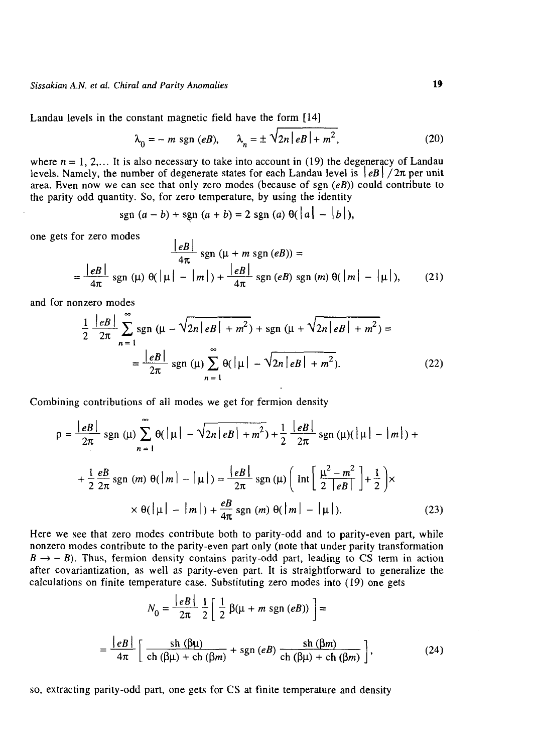Landau levels in the constant magnetic field have the form [14]

$$
\lambda_0 = -m \text{ sgn } (eB), \qquad \lambda_n = \pm \sqrt{2n|eB| + m^2}, \tag{20}
$$

where  $n = 1, 2,...$  It is also necessary to take into account in (19) the degeneracy of Landau levels. Namely, the number of degenerate states for each Landau level is  $\left|eB\right|/2\pi$  per unit area. Even now we can see that only zero modes (because of sgn *(eB))* could contribute to the parity odd quantity. So, for zero temperature, by using the identity

$$
sgn (a - b) + sgn (a + b) = 2 sgn (a) \theta(|a| - |b|),
$$

one gets for zero modes

$$
\frac{|eB|}{4\pi} \operatorname{sgn} \left(\mu + m \operatorname{sgn} \left(eB\right)\right) =
$$
\n
$$
= \frac{|eB|}{4\pi} \operatorname{sgn} \left(\mu\right) \Theta\left(|\mu| - |m|\right) + \frac{|eB|}{4\pi} \operatorname{sgn} \left(eB\right) \operatorname{sgn} \left(m\right) \Theta\left(|m| - |\mu|\right), \tag{21}
$$

and for nonzero modes

$$
\frac{1}{2} \frac{|eB|}{2\pi} \sum_{n=1}^{\infty} \text{sgn} \left( \mu - \sqrt{2n |eB| + m^2} \right) + \text{sgn} \left( \mu + \sqrt{2n |eB| + m^2} \right) =
$$
\n
$$
= \frac{|eB|}{2\pi} \text{sgn} \left( \mu \right) \sum_{n=1}^{\infty} \theta\left( | \mu | - \sqrt{2n |eB| + m^2} \right). \tag{22}
$$

Combining contributions of all modes we get for fermion density

 $\mathbf{r}$ 

$$
\rho = \frac{|eB|}{2\pi} \operatorname{sgn}(\mu) \sum_{n=1}^{\infty} \theta(|\mu| - \sqrt{2n|eB| + m^2}) + \frac{1}{2} \frac{|eB|}{2\pi} \operatorname{sgn}(\mu)(|\mu| - |m|) +
$$
  
+  $\frac{1}{2} \frac{eB}{2\pi} \operatorname{sgn}(m) \theta(|m| - |\mu|) = \frac{|eB|}{2\pi} \operatorname{sgn}(\mu) \left( \operatorname{Int} \left[ \frac{\mu^2 - m^2}{2|eB|} \right] + \frac{1}{2} \right) \times$   
×  $\theta(|\mu| - |m|) + \frac{eB}{4\pi} \operatorname{sgn}(m) \theta(|m| - |\mu|).$  (23)

Here we see that zero modes contribute both to parity-odd and to parity-even part, while nonzero modes contribute to the parity-even part only (note that under parity transformation  $B \rightarrow -B$ ). Thus, fermion density contains parity-odd part, leading to CS term in action after covariantization, as well as parity-even part. It is straightforward to generalize the calculations on finite temperature case. Substituting zero modes into (19) one gets  $\mathbf{a}^{\dagger}$  and  $\mathbf{a}^{\dagger}$ 

$$
N_0 = \frac{|eB|}{2\pi} \frac{1}{2} \left[ \frac{1}{2} \beta(\mu + m \operatorname{sgn}(eB)) \right] =
$$
  
= 
$$
\frac{|eB|}{4\pi} \left[ \frac{\operatorname{sh}(\beta\mu)}{\operatorname{ch}(\beta\mu) + \operatorname{ch}(\beta m)} + \operatorname{sgn}(eB) \frac{\operatorname{sh}(\beta m)}{\operatorname{ch}(\beta\mu) + \operatorname{ch}(\beta m)} \right],
$$
(24)

so, extracting parity-odd part, one gets for CS at finite temperature and density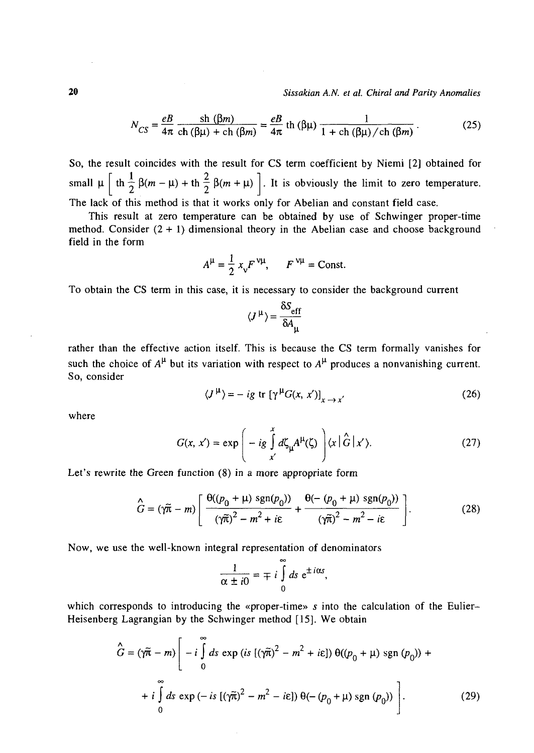$$
N_{CS} = \frac{eB}{4\pi} \frac{\text{sh}(\beta m)}{\text{ch}(\beta \mu) + \text{ch}(\beta m)} = \frac{eB}{4\pi} \text{th}(\beta \mu) \frac{1}{1 + \text{ch}(\beta \mu) / \text{ch}(\beta m)}.
$$
(25)

So, the result coincides with the result for CS term coefficient by Niemi [2] obtained for  $\begin{bmatrix} 1 & 1 & 0 \\ 0 & 1 & 1 \end{bmatrix}$  $\left[\begin{array}{cc} \cdots & \cdots & \cdots \\ \cdots & \cdots & \cdots \end{array}\right]$  is the positional polynomial to zero temperature. The lack of this method is that it works only for Abelian and constant field case.

This result at zero temperature can be obtained by use of Schwinger proper-time method. Consider  $(2 + 1)$  dimensional theory in the Abelian case and choose background field in the form

$$
A^{\mu} = \frac{1}{2} x_{v} F^{\nu \mu}, \qquad F^{\nu \mu} = \text{Const.}
$$

To obtain the CS term in this case, it is necessary to consider the background current

$$
\langle J^{\mu}\rangle = \frac{\delta S_{\text{eff}}}{\delta A_{\mu}}
$$

rather than the effective action itself. This is because the CS term formally vanishes for such the choice of  $A^{\mu}$  but its variation with respect to  $A^{\mu}$  produces a nonvanishing current. So, consider

$$
\langle J^{\mu} \rangle = -ig \text{ tr} \left[ \gamma^{\mu} G(x, x') \right]_{x \to x'}
$$
 (26)

where

$$
G(x, x') = \exp\left(-ig \int_{x'}^{x} d\zeta_{\mu} A^{\mu}(\zeta) \right) \langle x | \hat{G} | x' \rangle.
$$
 (27)

Let's rewrite the Green function (8) in a more appropriate form

$$
\hat{G} = (\gamma \tilde{\pi} - m) \left[ \frac{\Theta((p_0 + \mu) \operatorname{sgn}(p_0))}{(\gamma \tilde{\pi})^2 - m^2 + i\epsilon} + \frac{\Theta(- (p_0 + \mu) \operatorname{sgn}(p_0))}{(\gamma \tilde{\pi})^2 - m^2 - i\epsilon} \right].
$$
 (28)

Now, we use the well-known integral representation of denominators

$$
\frac{1}{\alpha \pm i0} = \mp i \int_{0}^{\infty} ds \ e^{\pm i \alpha s}
$$

which corresponds to introducing the «proper-time» s into the calculation of the Eulier-Heisenberg Lagrangian by the Schwinger method [15]. We obtain

$$
\hat{G} = (\gamma \tilde{\pi} - m) \left[ -i \int_{0}^{\infty} ds \exp (is [(\gamma \tilde{\pi})^{2} - m^{2} + i\epsilon]) \theta((p_{0} + \mu) \operatorname{sgn} (p_{0})) + + i \int_{0}^{\infty} ds \exp (-is [(\gamma \tilde{\pi})^{2} - m^{2} - i\epsilon]) \theta(-(p_{0} + \mu) \operatorname{sgn} (p_{0})) \right].
$$
 (29)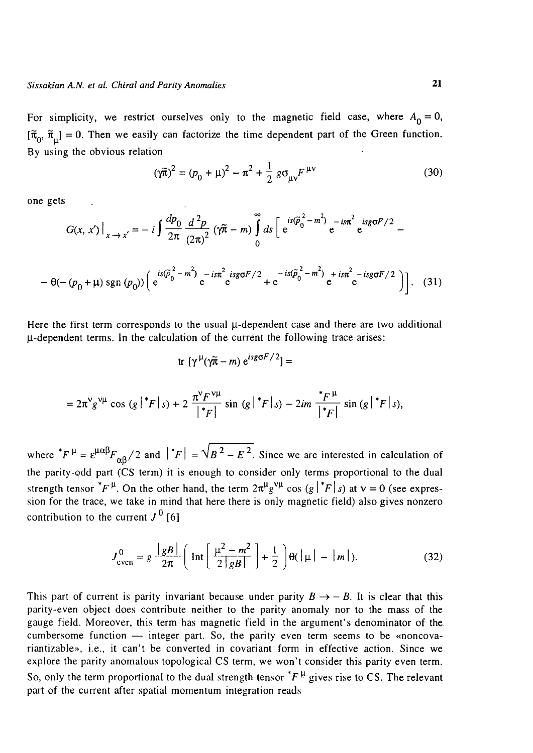For simplicity, we restrict ourselves only to the magnetic field case, where  $A_0 = 0$ ,  $[\tilde{\pi}_{0}, \tilde{\pi}_{0}] = 0$ . Then we easily can factorize the time dependent part of the Green function. By using the obvious relation

$$
(\gamma \tilde{\pi})^2 = (p_0 + \mu)^2 - \pi^2 + \frac{1}{2} g \sigma_{\mu\nu} F^{\mu\nu}
$$
 (30)

one gets

$$
G(x, x')\Big|_{x \to x'} = -i \int \frac{dp_0}{2\pi} \frac{d^2 p}{(2\pi)^2} (\gamma \tilde{\pi} - m) \int_0^{\infty} ds \Big[ e^{is(\tilde{p}_0^2 - m^2)} e^{-is\pi^2} e^{isg\sigma F/2} - (- (p_0 + \mu) sgn (p_0)) \Big( e^{is(\tilde{p}_0^2 - m^2)} e^{-is\pi^2} e^{isg\sigma F/2} + e^{-is(\tilde{p}_0^2 - m^2)} e^{+is\pi^2} e^{-isg\sigma F/2} \Big) \Big].
$$
 (31)

Here the first term corresponds to the usual  $\mu$ -dependent case and there are two additional  $\mu$ -dependent terms. In the calculation of the current the following trace arises:

$$
\text{tr} \, \left[ \gamma^{\mu} (\gamma \tilde{\pi} - m) \, e^{i s g \sigma F / 2} \right] =
$$

$$
=2\pi^{\nu}g^{\nu\mu}\cos\left(g\,\big|^{\nu}F\,\big|\,s\right)+2\,\frac{\pi^{\nu}F^{\nu\mu}}{\big|^{\nu}F\,\big|^{\nu}}\sin\left(g\,\big|^{\nu}F\,\big|\,s\right)-2im\,\frac{{}^{\nu}F^{\mu}}{\big|^{\nu}F\,\big|^{\nu}}\sin\left(g\,\big|^{\nu}F\,\big|\,s\right),
$$

where  $^*F^{\mu} = \varepsilon^{\mu\alpha\beta} F_{\alpha\beta} / 2$  and  $\left| {}^*F \right| = \sqrt{B^2 - E^2}$ . Since we are interested in calculation of the parity-odd part (CS term) it is enough to consider only terms proportional to the dual strength tensor  ${}^*F^{\mu}$ . On the other hand, the term  $2\pi^{\mu}g^{\nu\mu}$  cos  $(g \, | \, {}^*F | s)$  at  $\nu = 0$  (see expression for the trace, we take in mind that here there is only magnetic field) also gives nonzero contribution to the current  $J^0$  [6]

$$
J_{\text{even}}^0 = g \frac{|gB|}{2\pi} \left( \text{Int} \left[ \frac{\mu^2 - m^2}{2|gB|} \right] + \frac{1}{2} \right) \Theta(|\mu| - |m|). \tag{32}
$$

This part of current is parity invariant because under parity  $B \rightarrow -B$ . It is clear that this parity-even object does contribute neither to the parity anomaly nor to the mass of the gauge field. Moreover, this term has magnetic field in the argument's denominator of the. cumbersome function — integer part. So, the parity even term seems to be «noncovariantizable», i.e., it can't be converted in covariant form in effective action. Since we explore the parity anomalous topological CS term, we won't consider this parity even term. So, only the term proportional to the dual strength tensor  $^*F^{\mu}$  gives rise to CS. The relevant part of the current after spatial momentum integration reads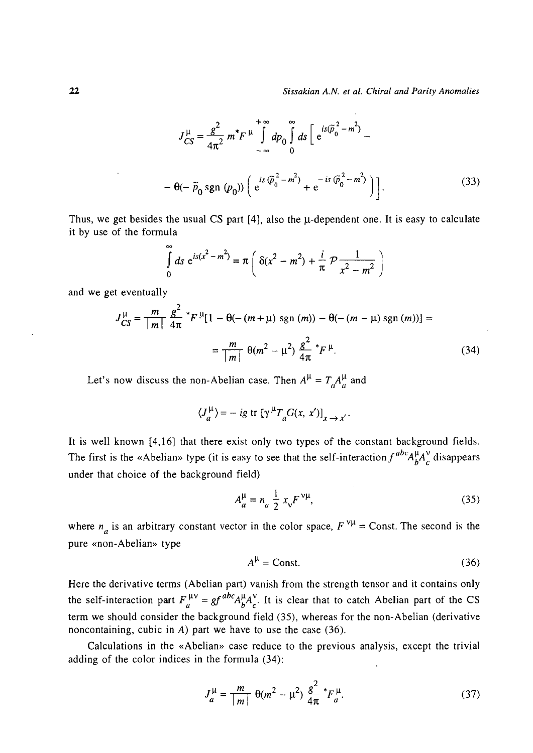$$
J_{CS}^{\mu} = \frac{g^2}{4\pi^2} m^* F^{\mu} \int_{-\infty}^{+\infty} dp_0 \int_0^{\infty} ds \left[ e^{is(\tilde{p}_0^2 - m^2)} - \right.
$$
  
-  $\theta(-\tilde{p}_0 \text{sgn} (p_0)) \left( e^{is(\tilde{p}_0^2 - m^2)} + e^{-is(\tilde{p}_0^2 - m^2)} \right) \right].$  (33)

Thus, we get besides the usual CS part  $[4]$ , also the  $\mu$ -dependent one. It is easy to calculate it by use of the formula

$$
\int_{0}^{\infty} ds \ e^{is(x^{2}-m^{2})} = \pi \left( \ \delta(x^{2}-m^{2}) + \frac{i}{\pi} \ \mathcal{P} \frac{1}{x^{2}-m^{2}} \ \right)
$$

and we get eventually

$$
J_{CS}^{\mu} = \frac{m}{|m|} \frac{g^2}{4\pi} * F^{\mu} [1 - \theta(- (m + \mu) \text{ sgn } (m)) - \theta(- (m - \mu) \text{ sgn } (m))] =
$$
  
= 
$$
\frac{m}{|m|} \theta(m^2 - \mu^2) \frac{g^2}{4\pi} * F^{\mu}.
$$
 (34)

Let's now discuss the non-Abelian case. Then  $A^{\mu} = T_a A^{\mu}_a$  and

$$
\langle J_a^{\mu} \rangle = -ig \text{ tr } [\gamma^{\mu} T_a G(x, x')]_{x \to x'}
$$

It is well known [4,16] that there exist only two types of the constant background fields. The first is the «Abelian» type (it is easy to see that the self-interaction  $f^{abc}A_b^{\mu}A_c^{\nu}$  disappears under that choice of the background field)

$$
A_{a}^{\mu} = n_{a} \frac{1}{2} x_{v} F^{\nu \mu}, \qquad (35)
$$

where  $n_a$  is an arbitrary constant vector in the color space,  $F^{\nu\mu}$  = Const. The second is the pure «non-Abelian» type

$$
A^{\mu} = \text{Const.} \tag{36}
$$

Here the derivative terms (Abelian part) vanish from the strength tensor and it contains only the self-interaction part  $F_a^{\mu\nu} = gf^{abc}A^{\mu}_bA^{\nu}_c$ . It is clear that to catch Abelian part of the CS term we should consider the background field (35), whereas for the non-Abelian (derivative noncontaining, cubic in *A)* part we have to use the case (36).

Calculations in the «Abelian» case reduce to the previous analysis, except the trivial adding of the color indices in the formula (34):

$$
J_a^{\mu} = \frac{m}{|m|} \ \theta(m^2 - \mu^2) \ \frac{g^2}{4\pi} \ {}^*F_a^{\mu}.
$$
 (37)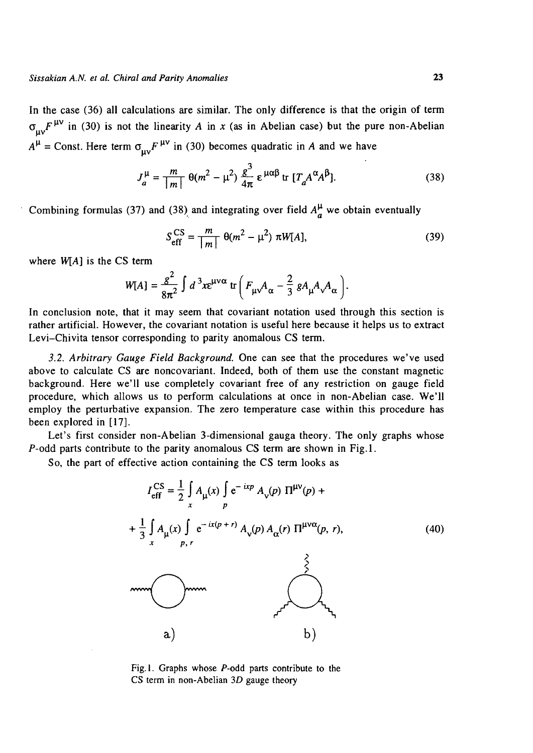In the case (36) all calculations are similar. The only difference is that the origin of term  $\sigma_{\text{m}} F^{\mu\nu}$  in (30) is not the linearity A in x (as in Abelian case) but the pure non-Abelian  $A^{\mu}$  = Const. Here term  $\sigma_{\mu\nu} F^{\mu\nu}$  in (30) becomes quadratic in *A* and we have

$$
J_a^{\mu} = \frac{m}{|m|} \theta(m^2 - \mu^2) \frac{g^3}{4\pi} \varepsilon^{\mu\alpha\beta} \operatorname{tr} [T_a A^{\alpha} A^{\beta}]. \tag{38}
$$

Combining formulas (37) and (38) and integrating over field  $A^{\mu}_{\mu}$  we obtain eventually

$$
S_{\text{eff}}^{\text{CS}} = \frac{m}{|m|} \ \theta(m^2 - \mu^2) \ \pi W[A], \tag{39}
$$

where *W[A]* is the CS term

$$
W[A] = \frac{g^2}{8\pi^2} \int d^3x e^{\mu\nu\alpha} \text{ tr}\left(F_{\mu\nu}A_{\alpha} - \frac{2}{3} g A_{\mu}A_{\nu}A_{\alpha}\right).
$$

In conclusion note, that it may seem that covariant notation used through this section is rather artificial. However, the covariant notation is useful here because it helps us to extract Levi-Chivita tensor corresponding to parity anomalous CS term.

*3.2. Arbitrary Gauge Field Background.* One can see that the procedures we've used above to calculate CS are noncovariant. Indeed, both of them use the constant magnetic background. Here we'll use completely covariant free of any restriction on gauge field procedure, which allows us to perform calculations at once in non-Abelian case. We'll employ the perturbative expansion. The zero temperature case within this procedure has been explored in [17].

Let's first consider non-Abelian 3-dimensional gauga theory. The only graphs whose  $P$ -odd parts contribute to the parity anomalous CS term are shown in Fig.1.

So, the part of effective action containing the CS term looks as

$$
I_{\text{eff}}^{\text{CS}} = \frac{1}{2} \int_{x}^{x} A_{\mu}(x) \int_{p}^{x} e^{-ixp} A_{\nu}(p) \Pi^{\mu\nu}(p) +
$$
  
+ 
$$
\frac{1}{3} \int_{x}^{x} A_{\mu}(x) \int_{p, r}^{x} e^{-ix(p+r)} A_{\nu}(p) A_{\alpha}(r) \Pi^{\mu\nu\alpha}(p, r),
$$
  
and  

$$
\begin{pmatrix} \frac{2}{3} \\ \frac{2}{3} \end{pmatrix}
$$
  
and  

$$
\begin{pmatrix} 2 \\ \frac{2}{3} \end{pmatrix}
$$
  
and  

$$
\begin{pmatrix} 2 \\ \frac{2}{3} \end{pmatrix}
$$
  
to

Fig. 1. Graphs whose P-odd parts contribute to the CS term in non-Abelian *3D* gauge theory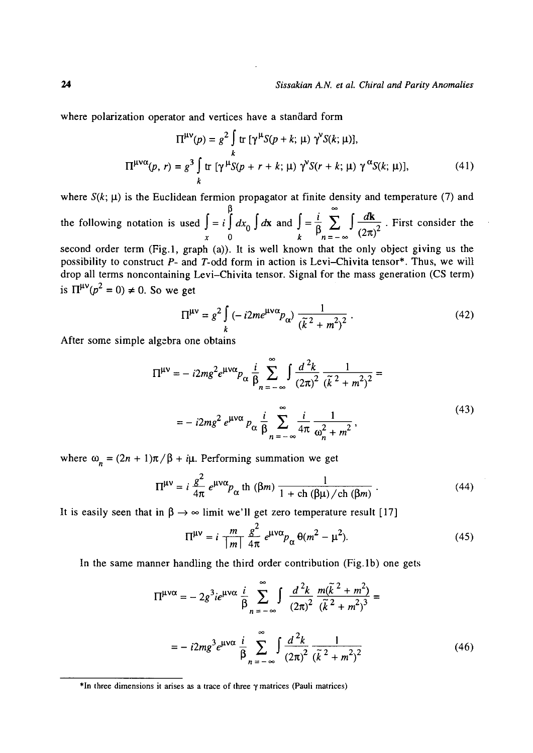where polarization operator and vertices have a standard form

$$
\Pi^{\mu\nu}(p) = g^2 \int \text{tr} \left[ \gamma^{\mu} S(p+k; \mu) \gamma^{\nu} S(k; \mu) \right],
$$
  

$$
\Pi^{\mu\nu\alpha}(p, r) = g^3 \int \text{tr} \left[ \gamma^{\mu} S(p+r+k; \mu) \gamma^{\nu} S(r+k; \mu) \gamma^{\alpha} S(k; \mu) \right],
$$
 (41)

where  $S(k; \mu)$  is the Euclidean fermion propagator at finite density and temperature (7) and the following notation is used  $\int = i \int dx_0 \int dx$  and  $\int = \frac{1}{\beta} \sum_{n=-\infty}^{\infty} \int \frac{dx}{(2\pi)^2}$ . First consider the **0** second order term (Fig.l, graph (a)). It is well known that the only object giving us the possibility to construct *P-* and T-odd form in action is Levi-Chivita tensor\*. Thus, we will drop all terms noncontaining Levi-Chivita tensor. Signal for the mass generation (CS term)

is  $\Pi^{\mu\nu}(p^2 = 0) \neq 0$ . So we get

$$
\Pi^{\mu\nu} = g^2 \int\limits_k \left( -i2me^{\mu\nu\alpha}p_\alpha \right) \frac{1}{\left( \tilde{k}^2 + m^2 \right)^2} \,. \tag{42}
$$

After some simple algebra one obtains

$$
\Pi^{\mu\nu} = -i2mg^2e^{\mu\nu\alpha}p_{\alpha}\frac{i}{\beta} \sum_{n=-\infty}^{\infty} \int \frac{d^2k}{(2\pi)^2} \frac{1}{(\tilde{k}^2 + m^2)^2} =
$$
  
=  $-i2mg^2e^{\mu\nu\alpha}p_{\alpha}\frac{i}{\beta} \sum_{n=-\infty}^{\infty} \frac{i}{4\pi} \frac{1}{\omega_n^2 + m^2},$  (43)

where  $\omega_n = (2n + 1)\pi/\beta + i\mu$ . Performing summation we get

$$
\Pi^{\mu\nu} = i \frac{g^2}{4\pi} e^{\mu\nu\alpha} p_{\alpha} \text{ th } (\beta m) \frac{1}{1 + \text{ch } (\beta \mu) / \text{ch } (\beta m)} \,. \tag{44}
$$

It is easily seen that in  $\beta \rightarrow \infty$  limit we'll get zero temperature result [17]

$$
\Pi^{\mu\nu} = i \frac{m}{|m|} \frac{g^2}{4\pi} e^{\mu\nu\alpha} p_\alpha \Theta(m^2 - \mu^2). \tag{45}
$$

In the same manner handling the third order contribution (Fig.lb) one gets

$$
\Pi^{\mu\nu\alpha} = -2g^3 i e^{\mu\nu\alpha} \frac{i}{\beta} \sum_{n=-\infty}^{\infty} \int \frac{d^2 k}{(2\pi)^2} \frac{m(\tilde{k}^2 + m^2)}{(\tilde{k}^2 + m^2)^3} =
$$
  
=  $-i2mg^3 e^{\mu\nu\alpha} \frac{i}{\beta} \sum_{n=-\infty}^{\infty} \int \frac{d^2 k}{(2\pi)^2} \frac{1}{(\tilde{k}^2 + m^2)^2}$  (46)

<sup>\*</sup>In three dimensions it arises as a trace of three *y* matrices (Pauli matrices)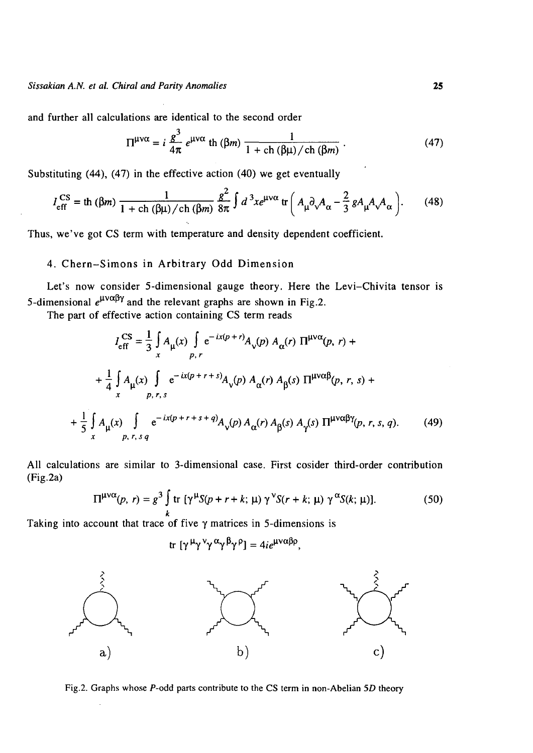and further all calculations are identical to the second order

$$
\Pi^{\mu\nu\alpha} = i \frac{g^3}{4\pi} e^{\mu\nu\alpha} \text{ th } (\beta m) \frac{1}{1 + \text{ch } (\beta \mu) / \text{ch } (\beta m)} \,. \tag{47}
$$

 $S_{\text{S}}$  in the effective action (40) we get eventually we get eventually we get eventually  $S_{\text{S}}$ 

$$
I_{\rm eff}^{\rm CS} = \text{th} \, (\beta m) \, \frac{1}{1 + \text{ch} \, (\beta \mu) / \text{ch} \, (\beta m)} \, \frac{g^2}{8\pi} \int d^3x e^{\mu \nu \alpha} \, \text{tr} \left( A_{\mu} \partial_{\nu} A_{\alpha} - \frac{2}{3} \, g A_{\mu} A_{\nu} A_{\alpha} \right). \tag{48}
$$

Thus, we've got CS term with temperature and density dependent coefficient.

## 4. Chern-Simons in Arbitrary Odd Dimension

Let's now consider 5-dimensional gauge theory. Here the Levi-Chivita tensor is 5-dimensional  $e^{\mu\nu\alpha\beta\gamma}$  and the relevant graphs are shown in Fig.2.

The part of effective action containing CS term reads

$$
I_{\text{eff}}^{\text{CS}} = \frac{1}{3} \int_{x}^{R} A_{\mu}(x) \int_{p,r} e^{-ix(p+r)} A_{\nu}(p) A_{\alpha}(r) \Pi^{\mu\nu\alpha}(p,r) +
$$
  
+ 
$$
\frac{1}{4} \int_{x}^{R} A_{\mu}(x) \int_{p,r,s} e^{-ix(p+r+s)} A_{\nu}(p) A_{\alpha}(r) A_{\beta}(s) \Pi^{\mu\nu\alpha\beta}(p,r,s) +
$$
  
+ 
$$
\frac{1}{5} \int_{x}^{R} A_{\mu}(x) \int_{p,r,s,q} e^{-ix(p+r+s+q)} A_{\nu}(p) A_{\alpha}(r) A_{\beta}(s) A_{\gamma}(s) \Pi^{\mu\nu\alpha\beta\gamma}(p,r,s,q). \tag{49}
$$

All calculations are similar to 3-dimensional case. First cosider third-order contribution (Fig.2a)

$$
\Pi^{\mu\nu\alpha}(p, r) = g^3 \int\limits_k \text{tr} \left[ \gamma^{\mu} S(p + r + k; \mu) \, \gamma^{\nu} S(r + k; \mu) \, \gamma^{\alpha} S(k; \mu) \right]. \tag{50}
$$

*k* Taking into account that trace of five y matrices in 5-dimensions is

$$
\text{tr} \, [\gamma^{\mu} \gamma^{\nu} \gamma^{\alpha} \gamma^{\beta} \gamma^{\rho}] = 4i e^{\mu \nu \alpha \beta \rho},
$$



Fig.2. Graphs whose P-odd parts contribute to the CS term in non-Abelian *5D* theory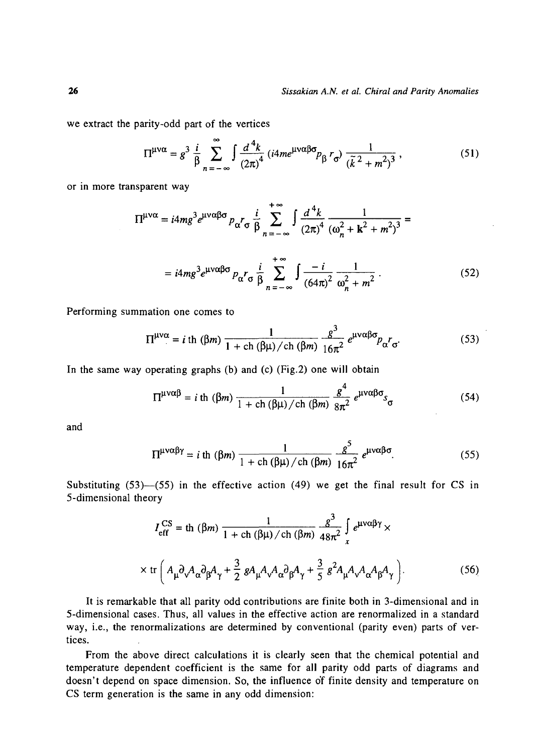we extract the parity-odd part of the vertices

$$
\Pi^{\mu\nu\alpha} = g^3 \frac{i}{\beta} \sum_{n=-\infty}^{\infty} \int \frac{d^4k}{(2\pi)^4} \left( i4me^{\mu\nu\alpha\beta\sigma} p_{\beta} r_{\sigma} \right) \frac{1}{(\tilde{k}^2 + m^2)^3},
$$
(51)

or in more transparent way

$$
\Pi^{\mu\nu\alpha} = i4mg^3e^{\mu\nu\alpha\beta\sigma}p_{\alpha}r_{\sigma}\frac{i}{\beta}\sum_{n=-\infty}^{+\infty}\int\frac{d^4k}{(2\pi)^4}\frac{1}{(\omega_n^2 + k^2 + m^2)^3} =
$$

$$
= i4mg^3 e^{\mu\nu\alpha\beta\sigma} p_{\alpha} r_{\sigma} \frac{i}{\beta} \sum_{n=-\infty}^{+\infty} \int \frac{-i}{(64\pi)^2} \frac{1}{\omega_n^2 + m^2} \,. \tag{52}
$$

Performing summation one comes to

$$
\Pi^{\mu\nu\alpha} = i \text{ th } (\beta m) \frac{1}{1 + \text{ ch } (\beta \mu) / \text{ ch } (\beta m)} \frac{g^3}{16\pi^2} e^{\mu\nu\alpha\beta\sigma} p_{\alpha} r_{\sigma}.
$$
 (53)

In the same way operating graphs (b) and (c) (Fig.2) one will obtain

$$
\Pi^{\mu\nu\alpha\beta} = i \text{ th } (\beta m) \frac{1}{1 + \text{ ch } (\beta \mu) / \text{ ch } (\beta m)} \frac{g^4}{8\pi^2} e^{\mu\nu\alpha\beta\sigma} s_{\sigma} \tag{54}
$$

and

$$
\Pi^{\mu\nu\alpha\beta\gamma} = i \text{ th } (\beta m) \frac{1}{1 + \text{ ch }(\beta \mu) / \text{ ch }(\beta m)} \frac{g^5}{16\pi^2} e^{\mu\nu\alpha\beta\sigma}.
$$
 (55)

Substituting  $(53)$ — $(55)$  in the effective action  $(49)$  we get the final result for CS in 5-dimensional theory

$$
I_{\text{eff}}^{\text{CS}} = \text{th} \, (\beta m) \, \frac{1}{1 + \text{ch} \, (\beta \mu) / \text{ch} \, (\beta m)} \, \frac{g^3}{48 \pi^2} \int_{x}^{\beta} e^{\mu \nu \alpha \beta \gamma} \times
$$
\n
$$
\times \text{tr} \left( A_{\mu} \partial_{\nu} A_{\alpha} \partial_{\beta} A_{\gamma} + \frac{3}{2} \, g A_{\mu} A_{\nu} A_{\alpha} \partial_{\beta} A_{\gamma} + \frac{3}{5} \, g^2 A_{\mu} A_{\nu} A_{\alpha} A_{\beta} A_{\gamma} \right). \tag{56}
$$

It is remarkable that all parity odd contributions are finite both in 3-dimensional and in 5-dimensional cases. Thus, all values in the effective action are renormalized in a standard way, i.e., the renormalizations are determined by conventional (parity even) parts of vertices.

From the above direct calculations it is clearly seen that the chemical potential and temperature dependent coefficient is the same for all parity odd parts of diagrams and doesn't depend on space dimension. So, the influence of finite density and temperature on CS term generation is the same in any odd dimension: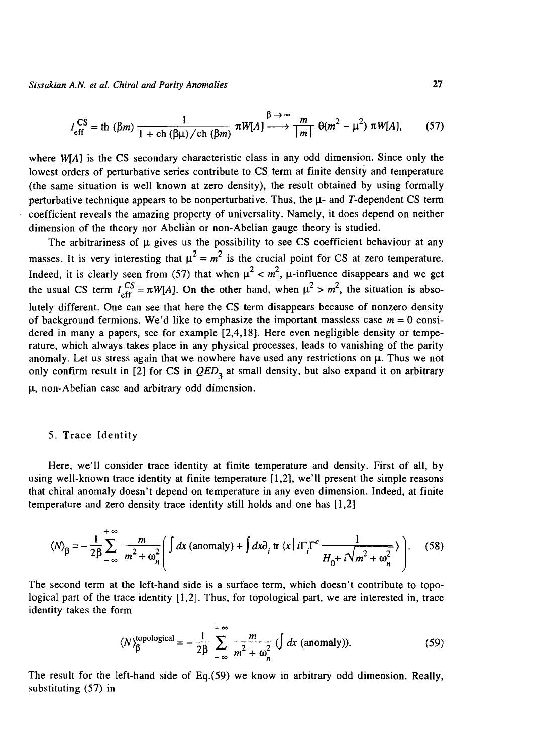$$
I_{\text{eff}}^{\text{CS}} = \text{th} \; (\beta m) \; \frac{1}{1 + \text{ch} \; (\beta \mu) / \text{ch} \; (\beta m)} \; \pi W[A] \xrightarrow{\beta \to \infty} \frac{m}{|m|} \; \theta(m^2 - \mu^2) \; \pi W[A], \qquad (57)
$$

where *W*[A] is the CS secondary characteristic class in any odd dimension. Since only the lowest orders of perturbative series contribute to CS term at finite density and temperature (the same situation is well known at zero density), the result obtained by using formally perturbative technique appears to be nonperturbative. Thus, the  $\mu$ - and T-dependent CS term coefficient reveals the amazing property of universality. Namely, it does depend on neither dimension of the theory nor Abelian or non-Abelian gauge theory is studied.

The arbitrariness of  $\mu$  gives us the possibility to see CS coefficient behaviour at any masses. It is very interesting that  $\mu^2 = m^2$  is the crucial point for CS at zero temperature. Indeed, it is clearly seen from (57) that when  $\mu^2 < m^2$ ,  $\mu$ -influence disappears and we get the usual CS term  $I^{CS} = \pi W[A]$ . On the other hand, when  $\mu^2 > m^2$ , the situation is absolutely different. One can see that here the CS term disappears because of nonzero density of background fermions. We'd like to emphasize the important massless case  $m = 0$  considered in many a papers, see for example [2,4,18]. Here even negligible density or temperature, which always takes place in any physical processes, leads to vanishing of the parity anomaly. Let us stress again that we nowhere have used any restrictions on  $\mu$ . Thus we not only confirm result in [2] for CS in  $QED<sub>3</sub>$  at small density, but also expand it on arbitrary *\i,* non-Abelian case and arbitrary odd dimension.

## 5. Trace Identity

Here, we'll consider trace identity at finite temperature and density. First of all, by using well-known trace identity at finite temperature [1,2], we'll present the simple reasons that chiral anomaly doesn't depend on temperature in any even dimension. Indeed, at finite temperature and zero density trace identity still holds and one has [1,2]

$$
\langle N \rangle_{\beta} = -\frac{1}{2\beta} \sum_{-\infty}^{+\infty} \frac{m}{m^2 + \omega_n^2} \left( \int dx \text{ (anomaly)} + \int dx \partial_i \text{ tr} \langle x | i \Gamma_i \Gamma^c \frac{1}{H_0 + i \sqrt{m^2 + \omega_n^2}} \rangle \right). \tag{58}
$$

The second term at the left-hand side is a surface term, which doesn't contribute to topological part of the trace identity [1,2]. Thus, for topological part, we are interested in, trace identity takes the form

$$
\langle N \rangle_{\beta}^{\text{topological}} = -\frac{1}{2\beta} \sum_{-\infty}^{+\infty} \frac{m}{m^2 + \omega_n^2} \left( \int dx \text{ (anomaly)} \right). \tag{59}
$$

The result for the left-hand side of Eq.(59) we know in arbitrary odd dimension. Really, substituting (57) in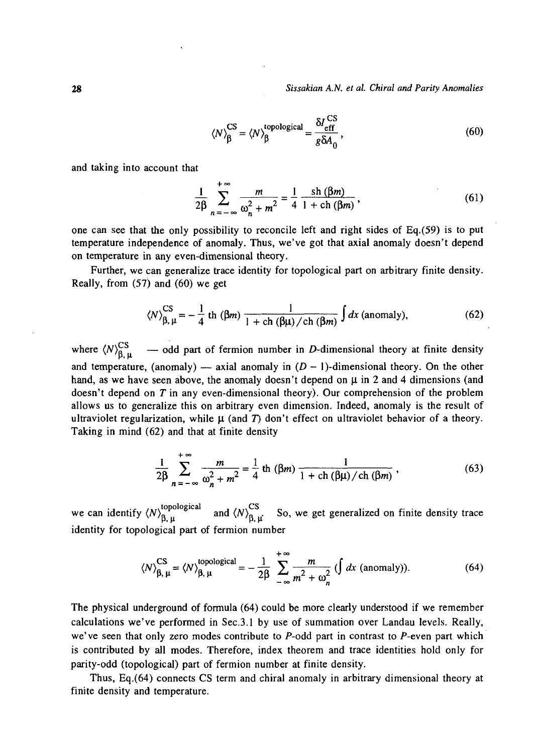$$
\langle N \rangle_{\beta}^{\text{CS}} = \langle N \rangle_{\beta}^{\text{topological}} = \frac{\delta I_{\text{eff}}^{\text{CS}}}{g \delta A_0},\tag{60}
$$

and taking into account that

$$
\frac{1}{2\beta} \sum_{n=-\infty}^{+\infty} \frac{m}{\omega_n^2 + m^2} = \frac{1}{4} \frac{\sin(\beta m)}{1 + \sin(\beta m)},
$$
(61)

one can see that the only possibility to reconcile left and right sides of Eq.(59) is to put temperature independence of anomaly. Thus, we've got that axial anomaly doesn't depend on temperature in any even-dimensional theory.

 $\sim 10$ 

Further, we can generalize trace identity for topological part on arbitrary finite density. Really, from (57) and (60) we get

$$
\langle N \rangle_{\beta,\,\mu}^{\text{CS}} = -\frac{1}{4} \text{ th } (\beta m) \frac{1}{1 + \text{ ch } (\beta \mu) / \text{ ch } (\beta m)} \int dx \text{ (anomaly)}, \tag{62}
$$

where  $\langle N\rangle_{\beta,\mu}^{CS}$  — odd part of fermion number in D-dimensional theory at finite density and temperature, (anomaly) — axial anomaly in  $(D - 1)$ -dimensional theory. On the other hand, as we have seen above, the anomaly doesn't depend on  $\mu$  in 2 and 4 dimensions (and doesn't depend on *T* in any even-dimensional theory). Our comprehension of the problem allows us to generalize this on arbitrary even dimension. Indeed, anomaly is the result of ultraviolet regularization, while  $\mu$  (and  $T$ ) don't effect on ultraviolet behavior of a theory. Taking in mind (62) and that at finite density

$$
\frac{1}{2\beta} \sum_{n=-\infty}^{+\infty} \frac{m}{\omega_n^2 + m^2} = \frac{1}{4} \text{ th } (\beta m) \frac{1}{1 + \text{ ch } (\beta \mu) / \text{ ch } (\beta m)}, \tag{63}
$$

we can identify  $\langle N\rangle_{\beta,\mu}^{topological}$  and  $\langle N\rangle_{\beta,\mu}^{CS}$  So, we get generalized on finite density trace identity for topological part of fermion number

$$
\langle N \rangle_{\beta, \mu}^{\text{CS}} = \langle N \rangle_{\beta, \mu}^{\text{topological}} = -\frac{1}{2\beta} \sum_{-\infty}^{+\infty} \frac{m}{m^2 + \omega_n^2} \left( \int dx \text{ (anomaly)} \right). \tag{64}
$$

The physical underground of formula (64) could be more clearly understood if we remember calculations we've performed in Sec.3.1 by use of summation over Landau levels. Really, we've seen that only zero modes contribute to  $P$ -odd part in contrast to  $P$ -even part which is contributed by all modes. Therefore, index theorem and trace identities hold only for parity-odd (topological) part of fermion number at finite density.

Thus, Eq.(64) connects CS term and chiral anomaly in arbitrary dimensional theory at finite density and temperature.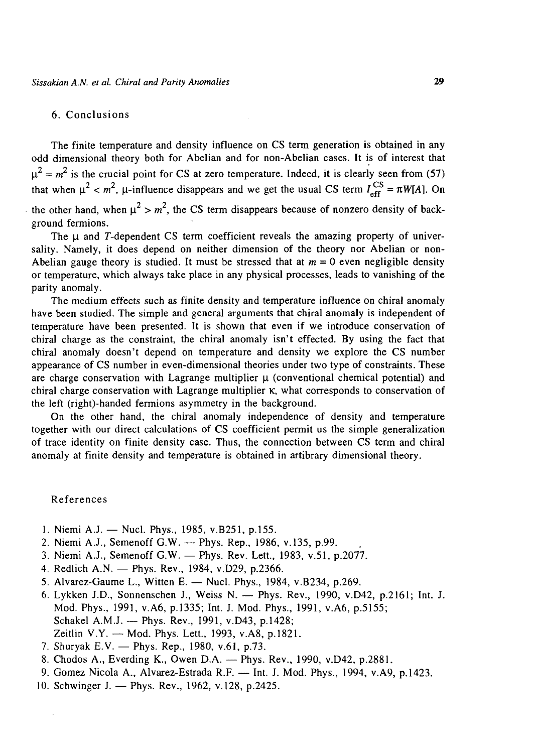## 6. Conclusions

The finite temperature and density influence on CS term generation is obtained in any odd dimensional theory both for Abelian and for non-Abelian cases. It is of interest that  $\mu^2 = m^2$  is the crucial point for CS at zero temperature. Indeed, it is clearly seen from (57)  $^2$   $\sim$  m<sup>2</sup> II influence disappears and we get the usual CS term I<sup>CS</sup> that when  $\mu \sim m$ ,  $\mu$  influence disappears and we get the usual CS term  $_{\text{eff}}^{\text{eff}}$  =  $m_{\text{F}}^{\text{H}}$ . On the other hand, when  $\mu^2 > m^2$ , the CS term disappears because of nonzero density of background fermions.

The  $\mu$  and T-dependent CS term coefficient reveals the amazing property of universality. Namely, it does depend on neither dimension of the theory nor Abelian or non-Abelian gauge theory is studied. It must be stressed that at *m =* 0 even negligible density or temperature, which always take place in any physical processes, leads to vanishing of the parity anomaly.

The medium effects such as finite density and temperature influence on chiral anomaly have been studied. The simple and general arguments that chiral anomaly is independent of temperature have been presented. It is shown that even if we introduce conservation of chiral charge as the constraint, the chiral anomaly isn't effected. By using the fact that chiral anomaly doesn't depend on temperature and density we explore the CS number appearance of CS number in even-dimensional theories under two type of constraints. These are charge conservation with Lagrange multiplier  $\mu$  (conventional chemical potential) and chiral charge conservation with Lagrange multiplier K, what corresponds to conservation of the left (right)-handed fermions asymmetry in the background.

On the other hand, the chiral anomaly independence of density and temperature together with our direct calculations of CS coefficient permit us the simple generalization of trace identity on finite density case. Thus, the connection between CS term and chiral anomaly at finite density and temperature is obtained in artibrary dimensional theory.

#### References

 $\cdot$ 

- 1. Niemi A.J. Nucl. Phys., 1985, V.B251, p.155.
- 2. Niemi A.J., Semenoff G.W. Phys. Rep., 1986, v.135, p.99.
- 3. Niemi A.J., Semenoff G.W. Phys. Rev. Lett., 1983, v.51, p.2077.
- 4. Redlich A.N. Phys. Rev., 1984, v.D29, p.2366.
- 5. Alvarez-Gaume L., Witten E. Nucl. Phys., 1984, V.B234, p.269.
- 6. Lykken J.D., Sonnenschen J., Weiss N. Phys. Rev., 1990, v.D42, p.2161; Int. J. Mod. Phys., 1991, v.A6, p.1335; Int. J. Mod. Phys., 1991, v.A6, p.5155; Schakel A.M.J. — Phys. Rev., 1991, v.D43, p.1428; Zeitlin V.Y. — Mod. Phys. Lett., 1993, v.A8, p.1821.
- 7. Shuryak E.V. Phys. Rep., 1980, v.61, p.73.
- 8. Chodos A., Everding K., Owen D.A. Phys. Rev., 1990, v.D42, p.2881.
- 9. Gomez Nicola A., Alvarez-Estrada R.F. Int. J. Mod. Phys., 1994, v.A9, p. 1423.
- 10. Schwinger J. Phys. Rev., 1962, v.128, p.2425.